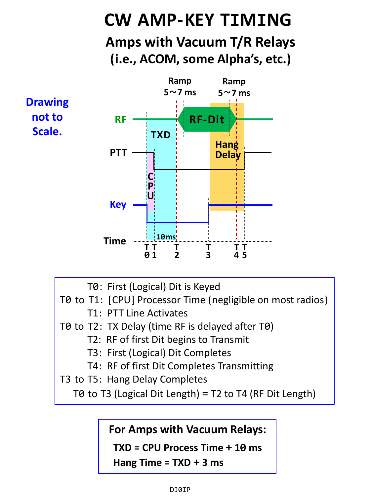## **CW AMP-KEY TIMING Amps with Vacuum T/R Relays (i.e., ACOM, some Alpha's, etc.)**



- T0: First (Logical) Dit is Keyed
- T0 to T1: [CPU] Processor Time (negligible on most radios)
	- T1: PTT Line Activates
- T0 to T2: TX Delay (time RF is delayed after T0)
	- T2: RF of first Dit begins to Transmit
	- T3: First (Logical) Dit Completes
	- T4: RF of first Dit Completes Transmitting
- T3 to T5: Hang Delay Completes

T0 to T3 (Logical Dit Length) = T2 to T4 (RF Dit Length)

## **For Amps with Vacuum Relays:**

**TXD = CPU Process Time + 10 ms**

**Hang Time = TXD + 3 ms**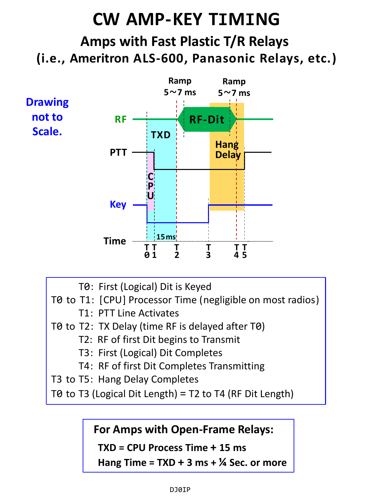# **CW AMP-KEY TIMING Amps with Fast Plastic T/R Relays (i.e., Ameritron ALS-600, Panasonic Relays, etc.)**



- T0: First (Logical) Dit is Keyed
- T0 to T1: [CPU] Processor Time (negligible on most radios)
	- T1: PTT Line Activates
- T0 to T2: TX Delay (time RF is delayed after T0)
	- T2: RF of first Dit begins to Transmit
	- T3: First (Logical) Dit Completes
	- T4: RF of first Dit Completes Transmitting
- T3 to T5: Hang Delay Completes

T0 to T3 (Logical Dit Length) = T2 to T4 (RF Dit Length)

## **For Amps with Open-Frame Relays:**

**TXD = CPU Process Time + 15 ms**

**Hang Time = TXD + 3 ms + ¼ Sec. or more**